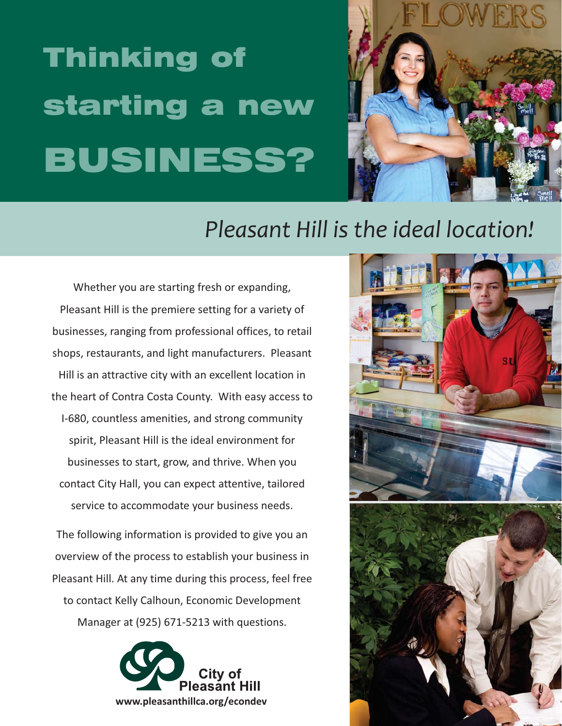# Thinking of starting a new <u>BUSINESS? (Based of the Second Contractor</u>



# *Pleasant Hill is the ideal location!*

Whether you are starting fresh or expanding, Pleasant Hill is the premiere setting for a variety of businesses, ranging from professional offices, to retail shops, restaurants, and light manufacturers. Pleasant Hill is an attractive city with an excellent location in the heart of Contra Costa County. With easy access to I-680, countless amenities, and strong community spirit, Pleasant Hill is the ideal environment for businesses to start, grow, and thrive. When you contact City Hall, you can expect attentive, tailored service to accommodate your business needs.

The following information is provided to give you an overview of the process to establish your business in Pleasant Hill. At any time during this process, feel free to contact Kelly Calhoun, Economic Development Manager at (925) 671-5213 with questions.



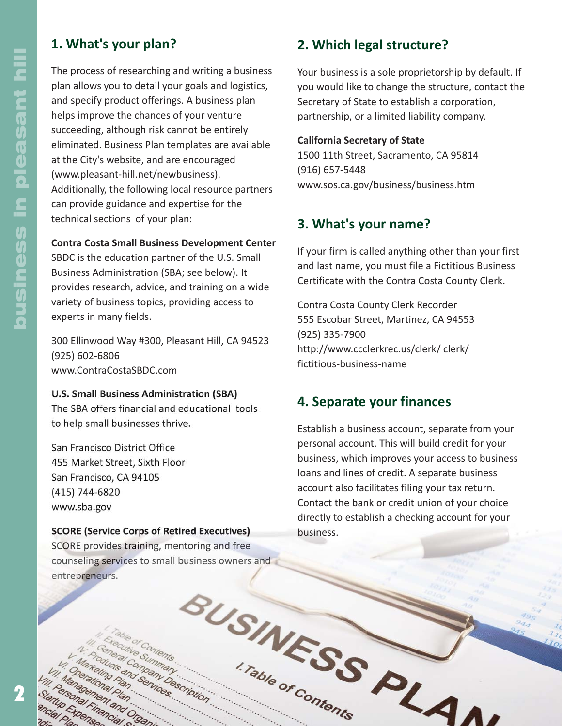# **1. What's your plan?**

The process of researching and writing a business plan allows you to detail your goals and logistics, and specify product offerings. A business plan helps improve the chances of your venture succeeding, although risk cannot be entirely eliminated. Business Plan templates are available at the City's website, and are encouraged (www.pleasant-hill.net/newbusiness). Additionally, the following local resource partners can provide guidance and expertise for the technical sections of your plan:

#### **Contra Costa Small Business Development Center**

SBDC is the education partner of the U.S. Small Business Administration (SBA; see below). It provides research, advice, and training on a wide variety of business topics, providing access to experts in many fields.

300 Ellinwood Way #300, Pleasant Hill, CA 94523 (925) 602-6806 www.ContraCostaSBDC.com

#### **U.S. Small Business Administration (SBA)**

The SBA offers financial and educational tools to help small businesses thrive.

San Francisco District Office 455 Market Street, Sixth Floor San Francisco, CA 94105 (415) 744-6820 www.sba.gov

(510) 273-6611

 $\mu$ 

rsonal Piantan

ND Expense

#### **SCORE (Service Corps of Retired Executives)**

SCORE provides training, mentoring and free counseling services to small business owners and entrepreneurs. BUSINESS PLA

e Summan

references

and Organ

Commander Continues

# **2. Which legal structure?**

Your business is a sole proprietorship by default. If you would like to change the structure, contact the Secretary of State to establish a corporation, partnership, or a limited liability company.

#### **California Secretary of State**

1500 11th Street, Sacramento, CA 95814 (916) 657-5448 www.sos.ca.gov/business/business.htm

#### **3. What's your name?**

If your firm is called anything other than your first and last name, you must file a Fictitious Business Certificate with the Contra Costa County Clerk.

Contra Costa County Clerk Recorder 555 Escobar Street, Martinez, CA 94553 (925) 335-7900 http://www.ccclerkrec.us/clerk/ clerk/ fictitious-business-name

#### **4. Separate your finances**

Establish a business account, separate from your personal account. This will build credit for your business, which improves your access to business loans and lines of credit. A separate business account also facilitates filing your tax return. Contact the bank or credit union of your choice directly to establish a checking account for your business.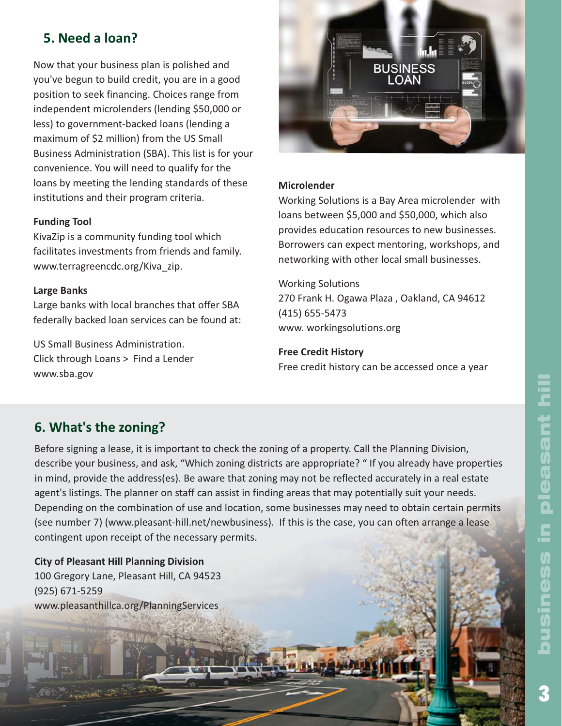# **5. Need a loan?**

Now that your business plan is polished and you've begun to build credit, you are in a good position to seek financing. Choices range from independent microlenders (lending \$50,000 or less) to government-backed loans (lending a maximum of \$2 million) from the US Small Business Administration (SBA). This list is for your convenience. You will need to qualify for the loans by meeting the lending standards of these institutions and their program criteria.

#### **Funding Tool**

KivaZip is a community funding tool which facilitates investments from friends and family. www.terragreencdc.org/Kiva\_zip.

#### **Large Banks**

Large banks with local branches that offer SBA federally backed loan services can be found at:

US Small Business Administration. Click through Loans > Find a Lender www.sba.gov



#### **Microlender**

Working Solutions is a Bay Area microlender with loans between \$5,000 and \$50,000, which also provides education resources to new businesses. Borrowers can expect mentoring, workshops, and networking with other local small businesses.

#### Working Solutions 270 Frank H. Ogawa Plaza , Oakland, CA 94612 (415) 655-5473 www. workingsolutions.org

#### **Free Credit History**

Free credit history can be accessed once a year

# **6. What's the zoning?**

Before signing a lease, it is important to check the zoning of a property. Call the Planning Division, describe your business, and ask, "Which zoning districts are appropriate? " If you already have properties in mind, provide the address(es). Be aware that zoning may not be reflected accurately in a real estate agent's listings. The planner on staff can assist in finding areas that may potentially suit your needs. Depending on the combination of use and location, some businesses may need to obtain certain permits (see number 7) (www.pleasant-hill.net/newbusiness). If this is the case, you can often arrange a lease contingent upon receipt of the necessary permits.

**City of Pleasant Hill Planning Division** 100 Gregory Lane, Pleasant Hill, CA 94523 (925) 671-5259 www.pleasanthillca.org/PlanningServices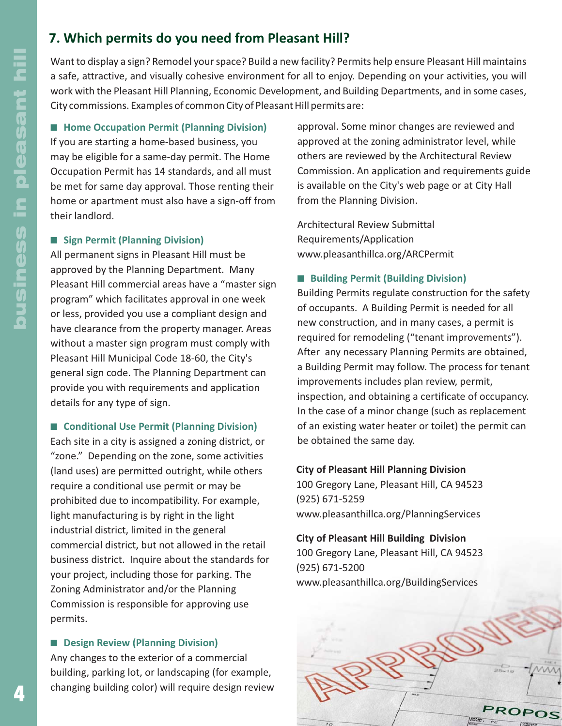# **7. Which permits do you need from Pleasant Hill?**

Want to display a sign? Remodel your space? Build a new facility? Permits help ensure Pleasant Hill maintains a safe, attractive, and visually cohesive environment for all to enjoy. Depending on your activities, you will work with the Pleasant Hill Planning, Economic Development, and Building Departments, and in some cases, City commissions. Examples of common City of Pleasant Hill permits are:

■ Home Occupation Permit (Planning Division) If you are starting a home-based business, you may be eligible for a same-day permit. The Home Occupation Permit has 14 standards, and all must be met for same day approval. Those renting their home or apartment must also have a sign-off from their landlord.

#### **E** Sign Permit (Planning Division)

All permanent signs in Pleasant Hill must be approved by the Planning Department. Many Pleasant Hill commercial areas have a "master sign program" which facilitates approval in one week or less, provided you use a compliant design and have clearance from the property manager. Areas without a master sign program must comply with Pleasant Hill Municipal Code 18-60, the City's general sign code. The Planning Department can provide you with requirements and application details for any type of sign.

#### ■ Conditional Use Permit (Planning Division)

Each site in a city is assigned a zoning district, or "zone." Depending on the zone, some activities (land uses) are permitted outright, while others require a conditional use permit or may be prohibited due to incompatibility. For example, light manufacturing is by right in the light industrial district, limited in the general commercial district, but not allowed in the retail business district. Inquire about the standards for your project, including those for parking. The Zoning Administrator and/or the Planning Commission is responsible for approving use permits.

#### $\blacksquare$  Design Review (Planning Division)

Any changes to the exterior of a commercial building, parking lot, or landscaping (for example, changing building color) will require design review

approval. Some minor changes are reviewed and approved at the zoning administrator level, while others are reviewed by the Architectural Review Commission. An application and requirements guide is available on the City's web page or at City Hall from the Planning Division.

Architectural Review Submittal Requirements/Application www.pleasanthillca.org/ARCPermit

#### **E** Building Permit (Building Division)

Building Permits regulate construction for the safety of occupants. A Building Permit is needed for all new construction, and in many cases, a permit is required for remodeling ("tenant improvements"). After any necessary Planning Permits are obtained, a Building Permit may follow. The process for tenant improvements includes plan review, permit, inspection, and obtaining a certificate of occupancy. In the case of a minor change (such as replacement of an existing water heater or toilet) the permit can be obtained the same day.

#### **City of Pleasant Hill Planning Division**

100 Gregory Lane, Pleasant Hill, CA 94523 (925) 671-5259 www.pleasanthillca.org/PlanningServices

#### **City of Pleasant Hill Building Division**

100 Gregory Lane, Pleasant Hill, CA 94523 (925) 671-5200 www.pleasanthillca.org/BuildingServices

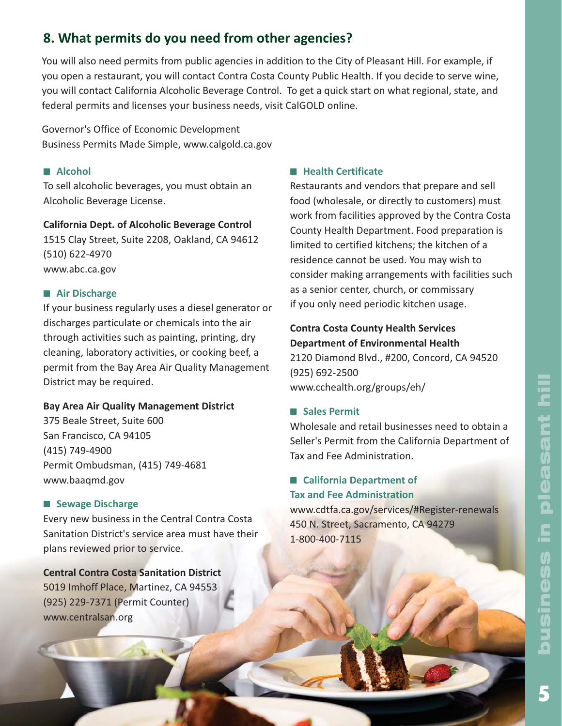# 5business in pleasant hillpleasant hill £ ness

# **8. What permits do you need from other agencies?**

You will also need permits from public agencies in addition to the City of Pleasant Hill. For example, if you open a restaurant, you will contact Contra Costa County Public Health. If you decide to serve wine, you will contact California Alcoholic Beverage Control. To get a quick start on what regional, state, and federal permits and licenses your business needs, visit CalGOLD online.

Governor's Office of Economic Development Business Permits Made Simple, www.calgold.ca.gov

#### ■ Alcohol

To sell alcoholic beverages, you must obtain an Alcoholic Beverage License.

#### **California Dept. of Alcoholic Beverage Control**

1515 Clay Street, Suite 2208, Oakland, CA 94612 (510) 622-4970 www.abc.ca.gov

#### **Air Discharge**

If your business regularly uses a diesel generator or discharges particulate or chemicals into the air through activities such as painting, printing, dry cleaning, laboratory activities, or cooking beef, a permit from the Bay Area Air Quality Management District may be required.

#### **Bay Area Air Quality Management District**

375 Beale Street, Suite 600 San Francisco, CA 94105 (415) 749-4900 Permit Ombudsman, (415) 749-4681 www.baaqmd.gov

#### $\blacksquare$  Sewage Discharge

Every new business in the Central Contra Costa Sanitation District's service area must have their plans reviewed prior to service.

# **Central Contra Costa Sanitation District**

5019 Imhoff Place, Martinez, CA 94553 (925) 229-7371 (Permit Counter) www.centralsan.org

#### $\blacksquare$  **Health Certificate**

Restaurants and vendors that prepare and sell food (wholesale, or directly to customers) must work from facilities approved by the Contra Costa County Health Department. Food preparation is limited to certified kitchens; the kitchen of a residence cannot be used. You may wish to consider making arrangements with facilities such as a senior center, church, or commissary if you only need periodic kitchen usage.

#### **Contra Costa County Health Services Department of Environmental Health**

2120 Diamond Blvd., #200, Concord, CA 94520 (925) 692-2500 www.cchealth.org/groups/eh/

#### - **Sales Permit**

Wholesale and retail businesses need to obtain a Seller's Permit from the California Department of Tax and Fee Administration.

#### **E** California Department of **Tax and Fee Administration**

www.cdtfa.ca.gov/services/#Register-renewals 450 N. Street, Sacramento, CA 94279 1-800-400-7115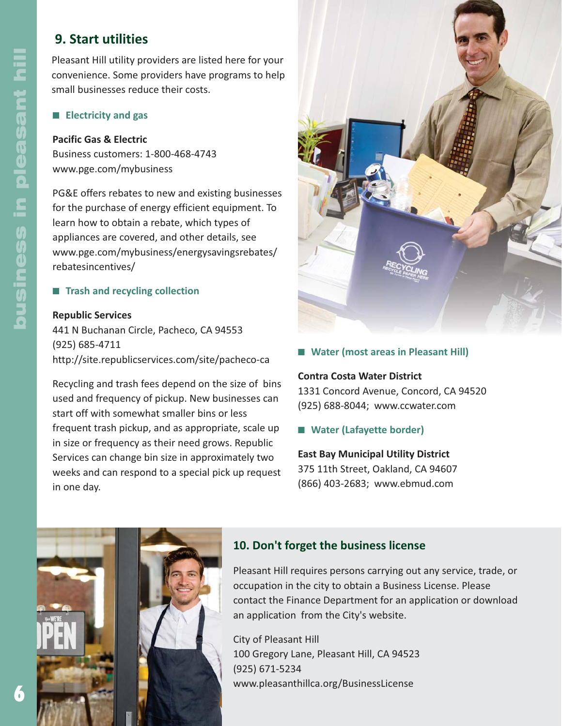# **9. Start utilities**

Pleasant Hill utility providers are listed here for your convenience. Some providers have programs to help small businesses reduce their costs.

#### **Electricity and gas**

#### **Pacific Gas & Electric**

Business customers: 1-800-468-4743 www.pge.com/mybusiness

PG&E offers rebates to new and existing businesses for the purchase of energy efficient equipment. To learn how to obtain a rebate, which types of appliances are covered, and other details, see www.pge.com/mybusiness/energysavingsrebates/ rebatesincentives/

#### **E** Trash and recycling collection

#### **Republic Services**

441 N Buchanan Circle, Pacheco, CA 94553 (925) 685-4711 http://site.republicservices.com/site/pacheco-ca

Recycling and trash fees depend on the size of bins used and frequency of pickup. New businesses can start off with somewhat smaller bins or less frequent trash pickup, and as appropriate, scale up in size or frequency as their need grows. Republic Services can change bin size in approximately two weeks and can respond to a special pick up request in one day.



#### ■ Water (most areas in Pleasant Hill)

#### **Contra Costa Water District**

1331 Concord Avenue, Concord, CA 94520 (925) 688-8044; www.ccwater.com

■ Water (Lafayette border)

#### **East Bay Municipal Utility District**

375 11th Street, Oakland, CA 94607 (866) 403-2683; www.ebmud.com



#### **10. Don't forget the business license**

Pleasant Hill requires persons carrying out any service, trade, or occupation in the city to obtain a Business License. Please contact the Finance Department for an application or download an application from the City's website.

City of Pleasant Hill 100 Gregory Lane, Pleasant Hill, CA 94523 (925) 671-5234 www.pleasanthillca.org/BusinessLicense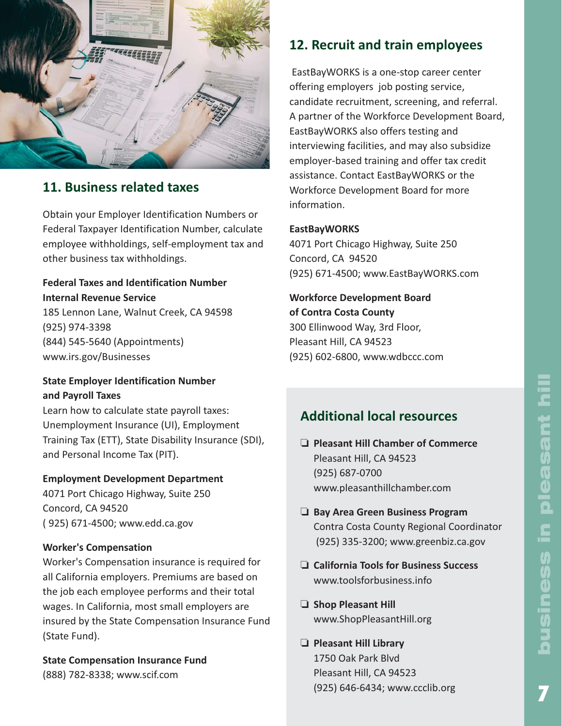

## **11. Business related taxes**

Obtain your Employer Identification Numbers or Federal Taxpayer Identification Number, calculate employee withholdings, self-employment tax and other business tax withholdings.

#### **Federal Taxes and Identification Number Internal Revenue Service**

185 Lennon Lane, Walnut Creek, CA 94598 (925) 974-3398 (844) 545-5640 (Appointments) www.irs.gov/Businesses

#### **State Employer Identification Number and Payroll Taxes**

Learn how to calculate state payroll taxes: Unemployment Insurance (UI), Employment Training Tax (ETT), State Disability Insurance (SDI), and Personal Income Tax (PIT).

#### **Employment Development Department**

4071 Port Chicago Highway, Suite 250 Concord, CA 94520 ( 925) 671-4500; www.edd.ca.gov

#### **Worker's Compensation**

Worker's Compensation insurance is required for all California employers. Premiums are based on the job each employee performs and their total wages. In California, most small employers are insured by the State Compensation Insurance Fund (State Fund).

**State Compensation Insurance Fund** (888) 782-8338; www.scif.com

# **12. Recruit and train employees**

EastBayWORKS is a one-stop career center offering employers job posting service, candidate recruitment, screening, and referral. A partner of the Workforce Development Board, EastBayWORKS also offers testing and interviewing facilities, and may also subsidize employer-based training and offer tax credit assistance. Contact EastBayWORKS or the Workforce Development Board for more information.

#### **EastBayWORKS**

4071 Port Chicago Highway, Suite 250 Concord, CA 94520 (925) 671-4500; www.EastBayWORKS.com

**Workforce Development Board of Contra Costa County** 300 Ellinwood Way, 3rd Floor, Pleasant Hill, CA 94523

(925) 602-6800, www.wdbccc.com

# **Additional local resources**

- **Pleasant Hill Chamber of Commerce** Pleasant Hill, CA 94523 (925) 687-0700 www.pleasanthillchamber.com
- **Bay Area Green Business Program** Contra Costa County Regional Coordinator (925) 335-3200; www.greenbiz.ca.gov
- **California Tools for Business Success** www.toolsforbusiness.info
- **Shop Pleasant Hill** www.ShopPleasantHill.org
- **Pleasant Hill Library** 1750 Oak Park Blvd Pleasant Hill, CA 94523 (925) 646-6434; www.ccclib.org